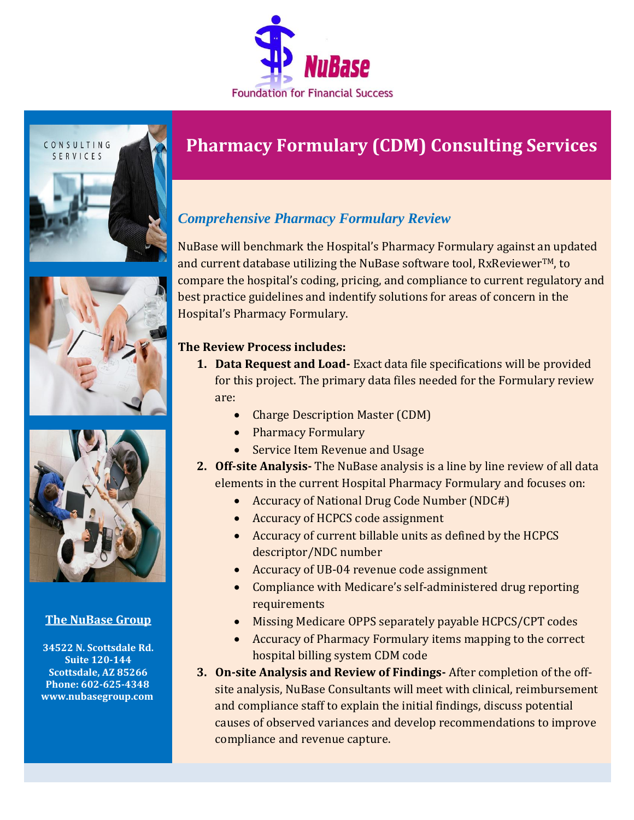





## **The NuBase Group**

**34522 N. Scottsdale Rd. Suite 120-144 Scottsdale, AZ 85266 Phone: 602-625-4348 [www.nubasegroup.com](http://www.nubasegroup.com/)**

# **Pharmacy Formulary (CDM) Consulting Services**

# *Comprehensive Pharmacy Formulary Review*

NuBase will benchmark the Hospital's Pharmacy Formulary against an updated and current database utilizing the NuBase software tool,  $RxReviewer<sup>TM</sup>$ , to compare the hospital's coding, pricing, and compliance to current regulatory and best practice guidelines and indentify solutions for areas of concern in the Hospital's Pharmacy Formulary.

### **The Review Process includes:**

- **1. Data Request and Load-** Exact data file specifications will be provided for this project. The primary data files needed for the Formulary review are:
	- Charge Description Master (CDM)
	- Pharmacy Formulary
	- Service Item Revenue and Usage
- **2. Off-site Analysis-** The NuBase analysis is a line by line review of all data elements in the current Hospital Pharmacy Formulary and focuses on:
	- Accuracy of National Drug Code Number (NDC#)
	- Accuracy of HCPCS code assignment
	- Accuracy of current billable units as defined by the HCPCS descriptor/NDC number
	- Accuracy of UB-04 revenue code assignment
	- Compliance with Medicare's self-administered drug reporting requirements
	- Missing Medicare OPPS separately payable HCPCS/CPT codes
	- Accuracy of Pharmacy Formulary items mapping to the correct hospital billing system CDM code
- **3. On-site Analysis and Review of Findings-** After completion of the offsite analysis, NuBase Consultants will meet with clinical, reimbursement and compliance staff to explain the initial findings, discuss potential causes of observed variances and develop recommendations to improve compliance and revenue capture.